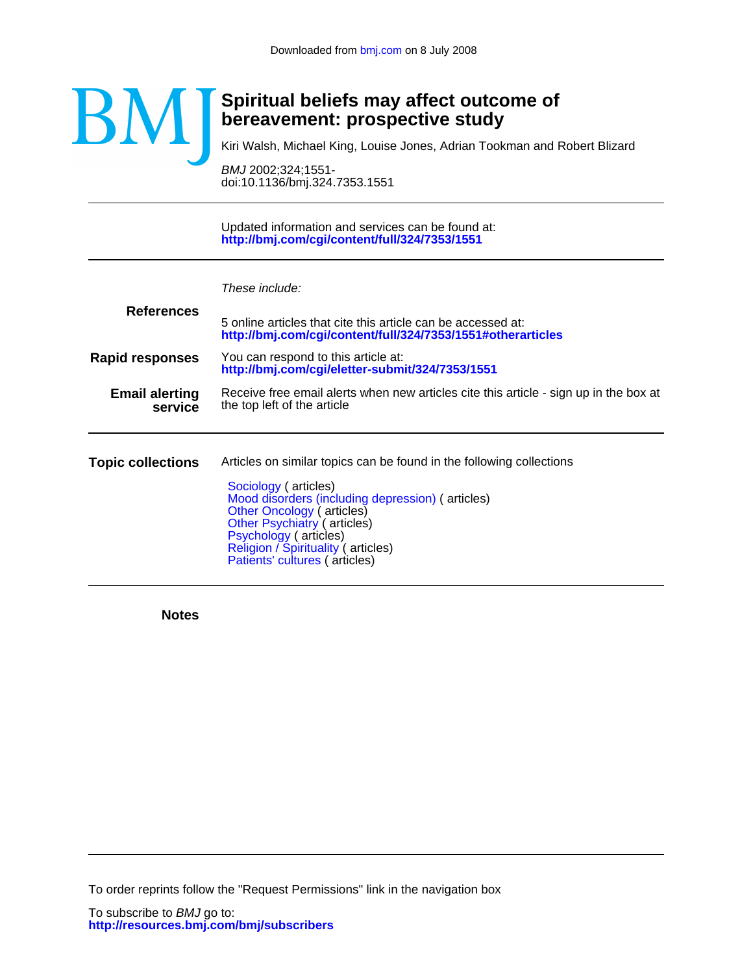

# **bereavement: prospective study Spiritual beliefs may affect outcome of**

Kiri Walsh, Michael King, Louise Jones, Adrian Tookman and Robert Blizard

doi:10.1136/bmj.324.7353.1551 BMJ 2002;324;1551-

**<http://bmj.com/cgi/content/full/324/7353/1551>** Updated information and services can be found at:

|                                  | These include:                                                                                                                                                                                                                              |  |  |  |  |
|----------------------------------|---------------------------------------------------------------------------------------------------------------------------------------------------------------------------------------------------------------------------------------------|--|--|--|--|
| <b>References</b>                | 5 online articles that cite this article can be accessed at:<br>http://bmj.com/cgi/content/full/324/7353/1551#otherarticles                                                                                                                 |  |  |  |  |
| <b>Rapid responses</b>           | You can respond to this article at:<br>http://bmj.com/cgi/eletter-submit/324/7353/1551                                                                                                                                                      |  |  |  |  |
| <b>Email alerting</b><br>service | Receive free email alerts when new articles cite this article - sign up in the box at<br>the top left of the article                                                                                                                        |  |  |  |  |
| <b>Topic collections</b>         | Articles on similar topics can be found in the following collections                                                                                                                                                                        |  |  |  |  |
|                                  | Sociology (articles)<br>Mood disorders (including depression) (articles)<br>Other Oncology (articles)<br><b>Other Psychiatry (articles)</b><br>Psychology (articles)<br>Religion / Spirituality (articles)<br>Patients' cultures (articles) |  |  |  |  |

**Notes**

To order reprints follow the "Request Permissions" link in the navigation box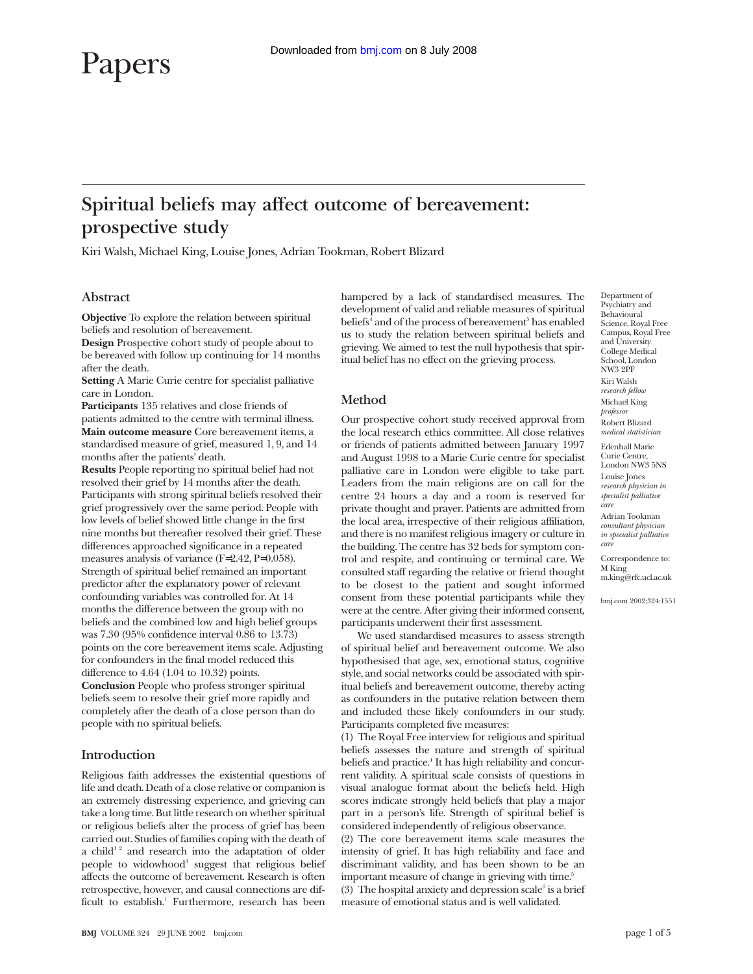# Papers

# **Spiritual beliefs may affect outcome of bereavement: prospective study**

Kiri Walsh, Michael King, Louise Jones, Adrian Tookman, Robert Blizard

# **Abstract**

**Objective** To explore the relation between spiritual beliefs and resolution of bereavement.

**Design** Prospective cohort study of people about to be bereaved with follow up continuing for 14 months after the death.

**Setting** A Marie Curie centre for specialist palliative care in London.

**Participants** 135 relatives and close friends of patients admitted to the centre with terminal illness. **Main outcome measure** Core bereavement items, a standardised measure of grief, measured 1, 9, and 14 months after the patients' death.

**Results** People reporting no spiritual belief had not resolved their grief by 14 months after the death. Participants with strong spiritual beliefs resolved their grief progressively over the same period. People with low levels of belief showed little change in the first nine months but thereafter resolved their grief. These differences approached significance in a repeated measures analysis of variance (F=2.42, P=0.058). Strength of spiritual belief remained an important predictor after the explanatory power of relevant confounding variables was controlled for. At 14 months the difference between the group with no beliefs and the combined low and high belief groups was 7.30 (95% confidence interval 0.86 to 13.73) points on the core bereavement items scale. Adjusting for confounders in the final model reduced this difference to 4.64 (1.04 to 10.32) points. **Conclusion** People who profess stronger spiritual beliefs seem to resolve their grief more rapidly and completely after the death of a close person than do people with no spiritual beliefs.

## **Introduction**

Religious faith addresses the existential questions of life and death. Death of a close relative or companion is an extremely distressing experience, and grieving can take a long time. But little research on whether spiritual or religious beliefs alter the process of grief has been carried out. Studies of families coping with the death of a child<sup>12</sup> and research into the adaptation of older people to widowhood<sup>3</sup> suggest that religious belief affects the outcome of bereavement. Research is often retrospective, however, and causal connections are difficult to establish.<sup>1</sup> Furthermore, research has been

hampered by a lack of standardised measures. The development of valid and reliable measures of spiritual beliefs<sup>4</sup> and of the process of bereavement<sup>5</sup> has enabled us to study the relation between spiritual beliefs and grieving. We aimed to test the null hypothesis that spiritual belief has no effect on the grieving process.

# **Method**

Our prospective cohort study received approval from the local research ethics committee. All close relatives or friends of patients admitted between January 1997 and August 1998 to a Marie Curie centre for specialist palliative care in London were eligible to take part. Leaders from the main religions are on call for the centre 24 hours a day and a room is reserved for private thought and prayer. Patients are admitted from the local area, irrespective of their religious affiliation, and there is no manifest religious imagery or culture in the building. The centre has 32 beds for symptom control and respite, and continuing or terminal care. We consulted staff regarding the relative or friend thought to be closest to the patient and sought informed consent from these potential participants while they were at the centre. After giving their informed consent, participants underwent their first assessment.

We used standardised measures to assess strength of spiritual belief and bereavement outcome. We also hypothesised that age, sex, emotional status, cognitive style, and social networks could be associated with spiritual beliefs and bereavement outcome, thereby acting as confounders in the putative relation between them and included these likely confounders in our study. Participants completed five measures:

(1) The Royal Free interview for religious and spiritual beliefs assesses the nature and strength of spiritual beliefs and practice.<sup>4</sup> It has high reliability and concurrent validity. A spiritual scale consists of questions in visual analogue format about the beliefs held. High scores indicate strongly held beliefs that play a major part in a person's life. Strength of spiritual belief is considered independently of religious observance.

(2) The core bereavement items scale measures the intensity of grief. It has high reliability and face and discriminant validity, and has been shown to be an important measure of change in grieving with time.<sup>5</sup> (3) The hospital anxiety and depression scale $\delta$  is a brief measure of emotional status and is well validated.

Department of Psychiatry and Behavioural Science, Royal Free Campus, Royal Free and University College Medical School, London NW3 2PF Kiri Walsh *research fellow* Michael King *professor* Robert Blizard *medical statistician*

Edenhall Marie Curie Centre, London NW3 5NS Louise Jones *research physician in specialist palliative care*

Adrian Tookman *consultant physician in specialist palliative care*

Correspondence to: M King m.king@rfc.ucl.ac.uk

bmj.com 2002;324:1551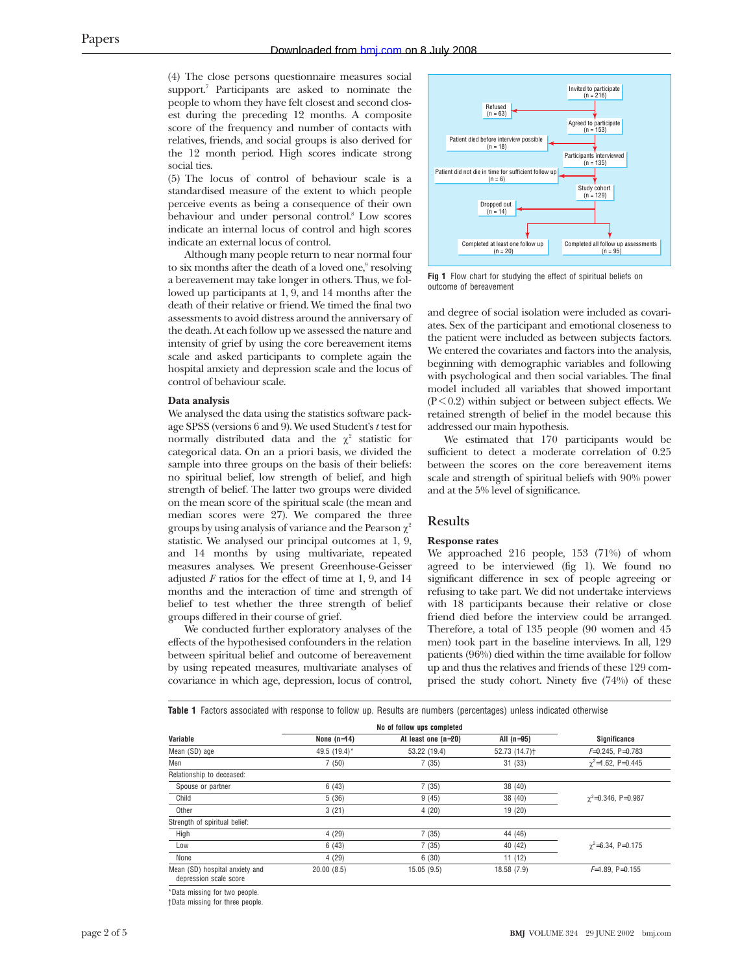(4) The close persons questionnaire measures social support.<sup>7</sup> Participants are asked to nominate the people to whom they have felt closest and second closest during the preceding 12 months. A composite score of the frequency and number of contacts with relatives, friends, and social groups is also derived for the 12 month period. High scores indicate strong social ties.

(5) The locus of control of behaviour scale is a standardised measure of the extent to which people perceive events as being a consequence of their own behaviour and under personal control.<sup>8</sup> Low scores indicate an internal locus of control and high scores indicate an external locus of control.

Although many people return to near normal four to six months after the death of a loved one,<sup>9</sup> resolving a bereavement may take longer in others. Thus, we followed up participants at 1, 9, and 14 months after the death of their relative or friend. We timed the final two assessments to avoid distress around the anniversary of the death. At each follow up we assessed the nature and intensity of grief by using the core bereavement items scale and asked participants to complete again the hospital anxiety and depression scale and the locus of control of behaviour scale.

#### **Data analysis**

We analysed the data using the statistics software package SPSS (versions 6 and 9). We used Student's *t* test for normally distributed data and the  $\chi^2$  statistic for categorical data. On an a priori basis, we divided the sample into three groups on the basis of their beliefs: no spiritual belief, low strength of belief, and high strength of belief. The latter two groups were divided on the mean score of the spiritual scale (the mean and median scores were 27). We compared the three groups by using analysis of variance and the Pearson  $\chi^2$ statistic. We analysed our principal outcomes at 1, 9, and 14 months by using multivariate, repeated measures analyses. We present Greenhouse-Geisser adjusted *F* ratios for the effect of time at 1, 9, and 14 months and the interaction of time and strength of belief to test whether the three strength of belief groups differed in their course of grief.

We conducted further exploratory analyses of the effects of the hypothesised confounders in the relation between spiritual belief and outcome of bereavement by using repeated measures, multivariate analyses of covariance in which age, depression, locus of control,



**Fig 1** Flow chart for studying the effect of spiritual beliefs on outcome of bereavement

and degree of social isolation were included as covariates. Sex of the participant and emotional closeness to the patient were included as between subjects factors. We entered the covariates and factors into the analysis, beginning with demographic variables and following with psychological and then social variables. The final model included all variables that showed important  $(P<0.2)$  within subject or between subject effects. We retained strength of belief in the model because this addressed our main hypothesis.

We estimated that 170 participants would be sufficient to detect a moderate correlation of 0.25 between the scores on the core bereavement items scale and strength of spiritual beliefs with 90% power and at the 5% level of significance.

## **Results**

#### **Response rates**

We approached 216 people, 153 (71%) of whom agreed to be interviewed (fig 1). We found no significant difference in sex of people agreeing or refusing to take part. We did not undertake interviews with 18 participants because their relative or close friend died before the interview could be arranged. Therefore, a total of 135 people (90 women and 45 men) took part in the baseline interviews. In all, 129 patients (96%) died within the time available for follow up and thus the relatives and friends of these 129 comprised the study cohort. Ninety five (74%) of these

**Table 1** Factors associated with response to follow up. Results are numbers (percentages) unless indicated otherwise

|                                                          | No of follow ups completed |                       |                           |                              |
|----------------------------------------------------------|----------------------------|-----------------------|---------------------------|------------------------------|
| Variable                                                 | None $(n=14)$              | At least one $(n=20)$ | All $(n=95)$              | Significance                 |
| Mean (SD) age                                            | 49.5 (19.4)*               | 53.22 (19.4)          | 52.73 (14.7) <sup>+</sup> | $F=0.245$ , P=0.783          |
| Men                                                      | 7(50)                      | 7(35)                 | 31(33)                    | $\gamma^2 = 1.62$ , P=0.445  |
| Relationship to deceased:                                |                            |                       |                           |                              |
| Spouse or partner                                        | 6(43)                      | 7(35)                 | 38 (40)                   |                              |
| Child                                                    | 5(36)                      | 9(45)                 | 38 (40)                   | $\gamma^2 = 0.346$ , P=0.987 |
| Other                                                    | 3(21)                      | 4(20)                 | 19 (20)                   |                              |
| Strength of spiritual belief:                            |                            |                       |                           |                              |
| High                                                     | 4(29)                      | 7(35)                 | 44 (46)                   |                              |
| Low                                                      | 6(43)                      | 7(35)                 | 40 (42)                   | $\gamma^2 = 6.34$ , P=0.175  |
| None                                                     | 4(29)                      | 6(30)                 | 11(12)                    |                              |
| Mean (SD) hospital anxiety and<br>depression scale score | 20.00(8.5)                 | 15.05(9.5)            | 18.58 (7.9)               | $F=1.89$ . P=0.155           |

\*Data missing for two people.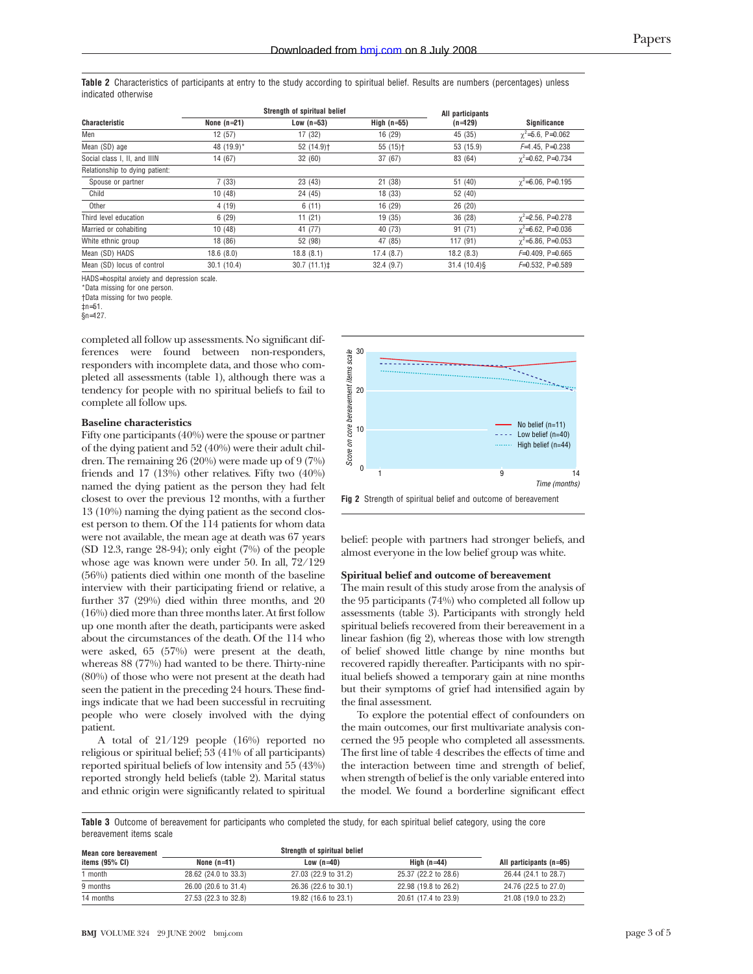**Table 2** Characteristics of participants at entry to the study according to spiritual belief. Results are numbers (percentages) unless indicated otherwise

|                                |               | Strength of spiritual belief |                       | All participants<br>$(n=129)$ |                             |  |
|--------------------------------|---------------|------------------------------|-----------------------|-------------------------------|-----------------------------|--|
| <b>Characteristic</b>          | None $(n=21)$ | Low $(n=53)$                 | High $(n=55)$         |                               | Significance                |  |
| Men                            | 12(57)        | 17 (32)                      | 16 (29)               | 45 (35)                       | $\gamma^2 = 5.6$ , P=0.062  |  |
| Mean (SD) age                  | 48 (19.9)*    | 52 (14.9) <sup>+</sup>       | $55(15)$ <sup>+</sup> | 53 (15.9)                     | $F=1.45$ , P=0.238          |  |
| Social class I, II, and IIIN   | 14 (67)       | 32(60)                       | 37(67)                | 83 (64)                       | $\gamma^2 = 0.62$ , P=0.734 |  |
| Relationship to dying patient: |               |                              |                       |                               |                             |  |
| Spouse or partner              | 7(33)         | 23 (43)                      | 21(38)                | 51 (40)                       | $\gamma^2 = 6.06$ , P=0.195 |  |
| Child                          | 10(48)        | 24 (45)                      | 18(33)                | 52 (40)                       |                             |  |
| Other                          | 4(19)         | 6(11)                        | 16(29)                | 26 (20)                       |                             |  |
| Third level education          | 6(29)         | 11(21)                       | 19(35)                | 36 (28)                       | $\gamma^2 = 2.56$ , P=0.278 |  |
| Married or cohabiting          | 10(48)        | 41 (77)                      | 40 (73)               | 91(71)                        | $\gamma^2 = 6.62$ , P=0.036 |  |
| White ethnic group             | 18 (86)       | 52 (98)                      | 47 (85)               | 117 (91)                      | $\gamma^2 = 5.86$ , P=0.053 |  |
| Mean (SD) HADS                 | 18.6(8.0)     | 18.8(8.1)                    | 17.4(8.7)             | 18.2(8.3)                     | $F=0.409$ . P=0.665         |  |
| Mean (SD) locus of control     | 30.1(10.4)    | 30.7(11.1)                   | 32.4(9.7)             | $31.4(10.4)\$                 | $F=0.532.$ P=0.589          |  |

HADS=hospital anxiety and depression scale.

\*Data missing for one person.

†Data missing for two people.

 $tn=51$ .

 $\sin 127$ .

completed all follow up assessments. No significant differences were found between non-responders, responders with incomplete data, and those who completed all assessments (table 1), although there was a tendency for people with no spiritual beliefs to fail to complete all follow ups.

#### **Baseline characteristics**

Fifty one participants (40%) were the spouse or partner of the dying patient and 52 (40%) were their adult children. The remaining 26 (20%) were made up of 9 (7%) friends and 17 (13%) other relatives. Fifty two (40%) named the dying patient as the person they had felt closest to over the previous 12 months, with a further 13 (10%) naming the dying patient as the second closest person to them. Of the 114 patients for whom data were not available, the mean age at death was 67 years (SD 12.3, range 28-94); only eight (7%) of the people whose age was known were under 50. In all, 72/129 (56%) patients died within one month of the baseline interview with their participating friend or relative, a further 37 (29%) died within three months, and 20 (16%) died more than three months later. At first follow up one month after the death, participants were asked about the circumstances of the death. Of the 114 who were asked, 65 (57%) were present at the death, whereas 88 (77%) had wanted to be there. Thirty-nine (80%) of those who were not present at the death had seen the patient in the preceding 24 hours. These findings indicate that we had been successful in recruiting people who were closely involved with the dying patient.

A total of 21/129 people (16%) reported no religious or spiritual belief; 53 (41% of all participants) reported spiritual beliefs of low intensity and 55 (43%) reported strongly held beliefs (table 2). Marital status and ethnic origin were significantly related to spiritual



belief: people with partners had stronger beliefs, and almost everyone in the low belief group was white.

#### **Spiritual belief and outcome of bereavement**

The main result of this study arose from the analysis of the 95 participants (74%) who completed all follow up assessments (table 3). Participants with strongly held spiritual beliefs recovered from their bereavement in a linear fashion (fig 2), whereas those with low strength of belief showed little change by nine months but recovered rapidly thereafter. Participants with no spiritual beliefs showed a temporary gain at nine months but their symptoms of grief had intensified again by the final assessment.

To explore the potential effect of confounders on the main outcomes, our first multivariate analysis concerned the 95 people who completed all assessments. The first line of table 4 describes the effects of time and the interaction between time and strength of belief, when strength of belief is the only variable entered into the model. We found a borderline significant effect

**Table 3** Outcome of bereavement for participants who completed the study, for each spiritual belief category, using the core bereavement items scale

| Mean core bereavement |                      | Strength of spiritual belief |                      |                           |  |  |  |
|-----------------------|----------------------|------------------------------|----------------------|---------------------------|--|--|--|
| items (95% CI)        | None $(n=11)$        | Low $(n=40)$                 | High $(n=44)$        | All participants $(n=95)$ |  |  |  |
| month                 | 28.62 (24.0 to 33.3) | 27.03 (22.9 to 31.2)         | 25.37 (22.2 to 28.6) | 26.44 (24.1 to 28.7)      |  |  |  |
| 9 months              | 26.00 (20.6 to 31.4) | 26.36 (22.6 to 30.1)         | 22.98 (19.8 to 26.2) | 24.76 (22.5 to 27.0)      |  |  |  |
| 14 months             | 27.53 (22.3 to 32.8) | 19.82 (16.6 to 23.1)         | 20.61 (17.4 to 23.9) | 21.08 (19.0 to 23.2)      |  |  |  |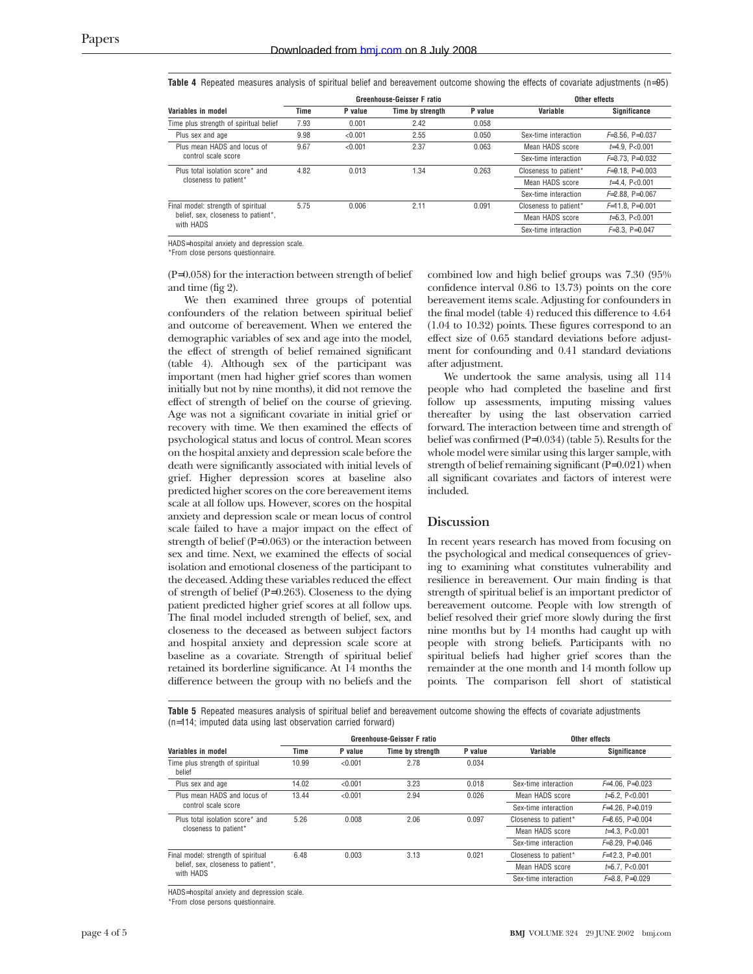**Table 4** Repeated measures analysis of spiritual belief and bereavement outcome showing the effects of covariate adjustments (n=95)

|                                                          | <b>Greenhouse-Geisser F ratio</b> |         |                  |         | Other effects         |                      |
|----------------------------------------------------------|-----------------------------------|---------|------------------|---------|-----------------------|----------------------|
| Variables in model                                       | Time                              | P value | Time by strength | P value | Variable              | <b>Significance</b>  |
| Time plus strength of spiritual belief                   | 7.93                              | 0.001   | 2.42             | 0.058   |                       |                      |
| Plus sex and age                                         | 9.98                              | < 0.001 | 2.55             | 0.050   | Sex-time interaction  | $F=3.56$ , P=0.037   |
| Plus mean HADS and locus of<br>control scale score       | 9.67                              | < 0.001 | 2.37             | 0.063   | Mean HADS score       | $\neq 4.9$ . P<0.001 |
|                                                          |                                   |         |                  |         | Sex-time interaction  | $F=3.73$ . P=0.032   |
| Plus total isolation score* and<br>closeness to patient* | 4.82                              | 0.013   | 1.34             | 0.263   | Closeness to patient* | $F=9.18$ . P=0.003   |
|                                                          |                                   |         |                  |         | Mean HADS score       | $\neq 4.4$ . P<0.001 |
|                                                          |                                   |         |                  |         | Sex-time interaction  | $F=2.88$ . P=0.067   |
| Final model: strength of spiritual                       | 5.75                              | 0.006   | 2.11             | 0.091   | Closeness to patient* | $F=11.8$ . P=0.001   |
| belief, sex, closeness to patient*,<br>with HADS         |                                   |         |                  |         | Mean HADS score       | $\neq$ 5.3. P<0.001  |
|                                                          |                                   |         |                  |         | Sex-time interaction  | $F=3.3.$ P=0.047     |

HADS=hospital anxiety and depression scale.

\*From close persons questionnaire.

(P=0.058) for the interaction between strength of belief and time (fig 2).

We then examined three groups of potential confounders of the relation between spiritual belief and outcome of bereavement. When we entered the demographic variables of sex and age into the model, the effect of strength of belief remained significant (table 4). Although sex of the participant was important (men had higher grief scores than women initially but not by nine months), it did not remove the effect of strength of belief on the course of grieving. Age was not a significant covariate in initial grief or recovery with time. We then examined the effects of psychological status and locus of control. Mean scores on the hospital anxiety and depression scale before the death were significantly associated with initial levels of grief. Higher depression scores at baseline also predicted higher scores on the core bereavement items scale at all follow ups. However, scores on the hospital anxiety and depression scale or mean locus of control scale failed to have a major impact on the effect of strength of belief (P=0.063) or the interaction between sex and time. Next, we examined the effects of social isolation and emotional closeness of the participant to the deceased. Adding these variables reduced the effect of strength of belief (P=0.263). Closeness to the dying patient predicted higher grief scores at all follow ups. The final model included strength of belief, sex, and closeness to the deceased as between subject factors and hospital anxiety and depression scale score at baseline as a covariate. Strength of spiritual belief retained its borderline significance. At 14 months the difference between the group with no beliefs and the

combined low and high belief groups was 7.30 (95% confidence interval 0.86 to 13.73) points on the core bereavement items scale. Adjusting for confounders in the final model (table 4) reduced this difference to 4.64 (1.04 to 10.32) points. These figures correspond to an effect size of 0.65 standard deviations before adjustment for confounding and 0.41 standard deviations after adjustment.

We undertook the same analysis, using all 114 people who had completed the baseline and first follow up assessments, imputing missing values thereafter by using the last observation carried forward. The interaction between time and strength of belief was confirmed (P=0.034) (table 5). Results for the whole model were similar using this larger sample, with strength of belief remaining significant (P=0.021) when all significant covariates and factors of interest were included.

# **Discussion**

In recent years research has moved from focusing on the psychological and medical consequences of grieving to examining what constitutes vulnerability and resilience in bereavement. Our main finding is that strength of spiritual belief is an important predictor of bereavement outcome. People with low strength of belief resolved their grief more slowly during the first nine months but by 14 months had caught up with people with strong beliefs. Participants with no spiritual beliefs had higher grief scores than the remainder at the one month and 14 month follow up points. The comparison fell short of statistical

**Table 5** Repeated measures analysis of spiritual belief and bereavement outcome showing the effects of covariate adjustments (n=114; imputed data using last observation carried forward)

|                                                                                        | Greenhouse-Geisser F ratio |         |                  |         | Other effects         |                      |
|----------------------------------------------------------------------------------------|----------------------------|---------|------------------|---------|-----------------------|----------------------|
| Variables in model                                                                     | Time                       | P value | Time by strength | P value | Variable              | Significance         |
| Time plus strength of spiritual<br>belief                                              | 10.99                      | < 0.001 | 2.78             | 0.034   |                       |                      |
| Plus sex and age                                                                       | 14.02                      | < 0.001 | 3.23             | 0.018   | Sex-time interaction  | $F=4.06$ . $P=0.023$ |
| Plus mean HADS and locus of<br>control scale score                                     | 13.44                      | < 0.001 | 2.94             | 0.026   | Mean HADS score       | $\neq$ 5.2. P<0.001  |
|                                                                                        |                            |         |                  |         | Sex-time interaction  | $F=4.26$ . P=0.019   |
| Plus total isolation score* and<br>closeness to patient*                               | 5.26                       | 0.008   | 2.06             | 0.097   | Closeness to patient* | $F=8.65$ . P=0.004   |
|                                                                                        |                            |         |                  |         | Mean HADS score       | $\neq$ 4.3. P<0.001  |
|                                                                                        |                            |         |                  |         | Sex-time interaction  | $F=3.29$ . P=0.046   |
| Final model: strength of spiritual<br>belief, sex, closeness to patient*,<br>with HADS | 6.48                       | 0.003   | 3.13             | 0.021   | Closeness to patient* | $F=12.3. P=0.001$    |
|                                                                                        |                            |         |                  |         | Mean HADS score       | $\neq 5.7$ . P<0.001 |
|                                                                                        |                            |         |                  |         | Sex-time interaction  | $F=3.8$ . P=0.029    |
|                                                                                        |                            |         |                  |         |                       |                      |

HADS=hospital anxiety and depression scale.

\*From close persons questionnaire.